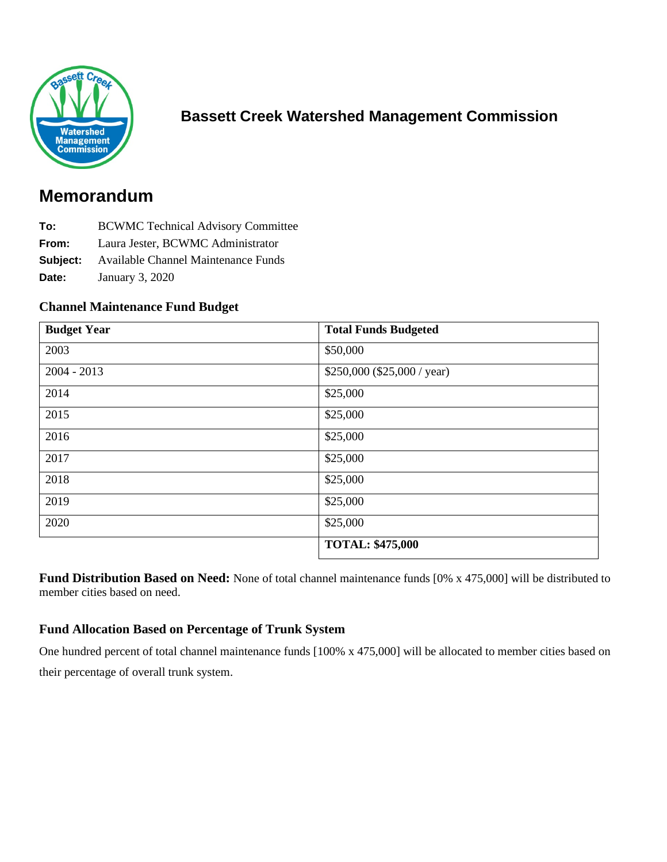

## **Bassett Creek Watershed Management Commission**

# **Memorandum**

- **To:** BCWMC Technical Advisory Committee
- **From:** Laura Jester, BCWMC Administrator
- **Subject:** Available Channel Maintenance Funds
- **Date:** January 3, 2020

#### **Channel Maintenance Fund Budget**

| <b>Budget Year</b> | <b>Total Funds Budgeted</b>  |
|--------------------|------------------------------|
| 2003               | \$50,000                     |
| $2004 - 2013$      | $$250,000$ (\$25,000 / year) |
| 2014               | \$25,000                     |
| 2015               | \$25,000                     |
| 2016               | \$25,000                     |
| 2017               | \$25,000                     |
| 2018               | \$25,000                     |
| 2019               | \$25,000                     |
| 2020               | \$25,000                     |
|                    | <b>TOTAL: \$475,000</b>      |

**Fund Distribution Based on Need:** None of total channel maintenance funds [0% x 475,000] will be distributed to member cities based on need.

#### **Fund Allocation Based on Percentage of Trunk System**

One hundred percent of total channel maintenance funds [100% x 475,000] will be allocated to member cities based on their percentage of overall trunk system.